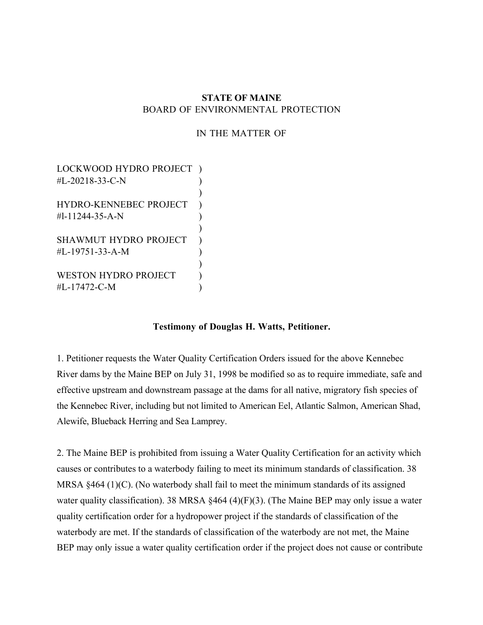## **STATE OF MAINE** BOARD OF ENVIRONMENTAL PROTECTION

## IN THE MATTER OF

LOCKWOOD HYDRO PROJECT ) #L-20218-33-C-N ) HYDRO-KENNEBEC PROJECT )  $#1-11244-35-A-N$ ) SHAWMUT HYDRO PROJECT )  $\#L-19751-33-A-M$  ) ) WESTON HYDRO PROJECT ) #L-17472-C-M )

### **Testimony of Douglas H. Watts, Petitioner.**

1. Petitioner requests the Water Quality Certification Orders issued for the above Kennebec River dams by the Maine BEP on July 31, 1998 be modified so as to require immediate, safe and effective upstream and downstream passage at the dams for all native, migratory fish species of the Kennebec River, including but not limited to American Eel, Atlantic Salmon, American Shad, Alewife, Blueback Herring and Sea Lamprey.

2. The Maine BEP is prohibited from issuing a Water Quality Certification for an activity which causes or contributes to a waterbody failing to meet its minimum standards of classification. 38 MRSA §464 (1)(C). (No waterbody shall fail to meet the minimum standards of its assigned water quality classification). 38 MRSA §464 (4)(F)(3). (The Maine BEP may only issue a water quality certification order for a hydropower project if the standards of classification of the waterbody are met. If the standards of classification of the waterbody are not met, the Maine BEP may only issue a water quality certification order if the project does not cause or contribute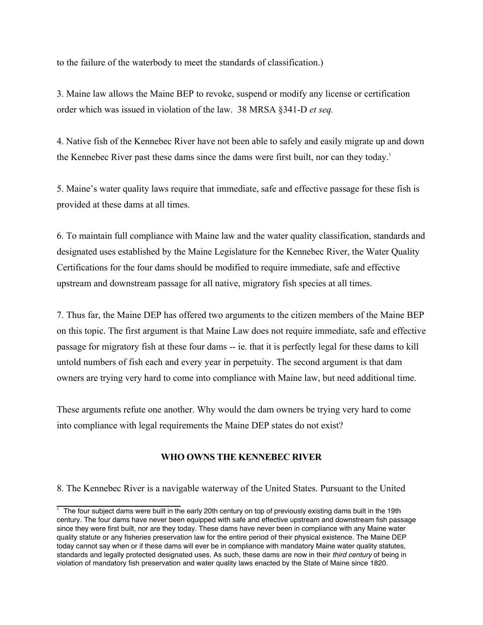to the failure of the waterbody to meet the standards of classification.)

3. Maine law allows the Maine BEP to revoke, suspend or modify any license or certification order which was issued in violation of the law. 38 MRSA §341-D *et seq.*

4. Native fish of the Kennebec River have not been able to safely and easily migrate up and down the Kennebec River past these dams since the dams were first built, nor can they today.<sup>1</sup>

5. Maine's water quality laws require that immediate, safe and effective passage for these fish is provided at these dams at all times.

6. To maintain full compliance with Maine law and the water quality classification, standards and designated uses established by the Maine Legislature for the Kennebec River, the Water Quality Certifications for the four dams should be modified to require immediate, safe and effective upstream and downstream passage for all native, migratory fish species at all times.

7. Thus far, the Maine DEP has offered two arguments to the citizen members of the Maine BEP on this topic. The first argument is that Maine Law does not require immediate, safe and effective passage for migratory fish at these four dams -- ie. that it is perfectly legal for these dams to kill untold numbers of fish each and every year in perpetuity. The second argument is that dam owners are trying very hard to come into compliance with Maine law, but need additional time.

These arguments refute one another. Why would the dam owners be trying very hard to come into compliance with legal requirements the Maine DEP states do not exist?

## **WHO OWNS THE KENNEBEC RIVER**

8. The Kennebec River is a navigable waterway of the United States. Pursuant to the United

<sup>1</sup> The four subject dams were built in the early 20th century on top of previously existing dams built in the 19th century. The four dams have never been equipped with safe and effective upstream and downstream fish passage since they were first built, nor are they today. These dams have never been in compliance with any Maine water quality statute or any fisheries preservation law for the entire period of their physical existence. The Maine DEP today cannot say when or if these dams will ever be in compliance with mandatory Maine water quality statutes, standards and legally protected designated uses. As such, these dams are now in their third century of being in violation of mandatory fish preservation and water quality laws enacted by the State of Maine since 1820.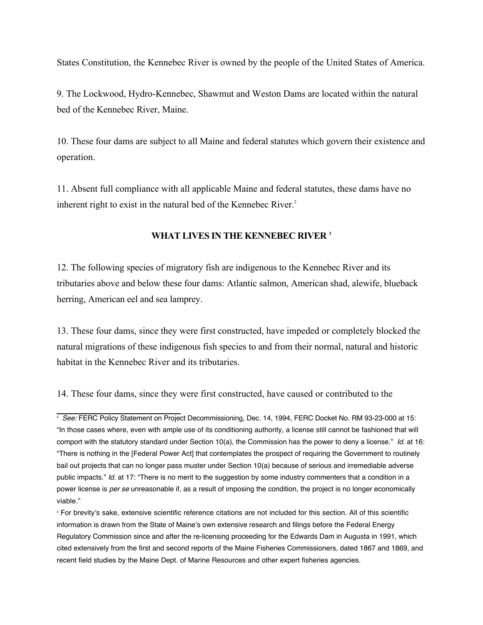States Constitution, the Kennebec River is owned by the people of the United States of America.

9. The Lockwood, Hydro-Kennebec, Shawmut and Weston Dams are located within the natural bed of the Kennebec River, Maine.

10. These four dams are subject to all Maine and federal statutes which govern their existence and operation.

11. Absent full compliance with all applicable Maine and federal statutes, these dams have no inherent right to exist in the natural bed of the Kennebec River.<sup>2</sup>

## **WHAT LIVES IN THE KENNEBEC RIVER 3**

12. The following species of migratory fish are indigenous to the Kennebec River and its tributaries above and below these four dams: Atlantic salmon, American shad, alewife, blueback herring, American eel and sea lamprey.

13. These four dams, since they were first constructed, have impeded or completely blocked the natural migrations of these indigenous fish species to and from their normal, natural and historic habitat in the Kennebec River and its tributaries.

14. These four dams, since they were first constructed, have caused or contributed to the

<sup>&</sup>lt;sup>2</sup> See: FERC Policy Statement on Project Decommissioning, Dec. 14, 1994, FERC Docket No. RM 93-23-000 at 15: "In those cases where, even with ample use of its conditioning authority, a license still cannot be fashioned that will comport with the statutory standard under Section 10(a), the Commission has the power to deny a license." Id. at 16: "There is nothing in the [Federal Power Act] that contemplates the prospect of requiring the Government to routinely bail out projects that can no longer pass muster under Section 10(a) because of serious and irremediable adverse public impacts." Id. at 17: "There is no merit to the suggestion by some industry commenters that a condition in a power license is *per se* unreasonable if, as a result of imposing the condition, the project is no longer economically viable."

<sup>&</sup>lt;sup>3</sup> For brevity's sake, extensive scientific reference citations are not included for this section. All of this scientific information is drawn from the State of Maine's own extensive research and filings before the Federal Energy Regulatory Commission since and after the re-licensing proceeding for the Edwards Dam in Augusta in 1991, which cited extensively from the first and second reports of the Maine Fisheries Commissioners, dated 1867 and 1869, and recent field studies by the Maine Dept. of Marine Resources and other expert fisheries agencies.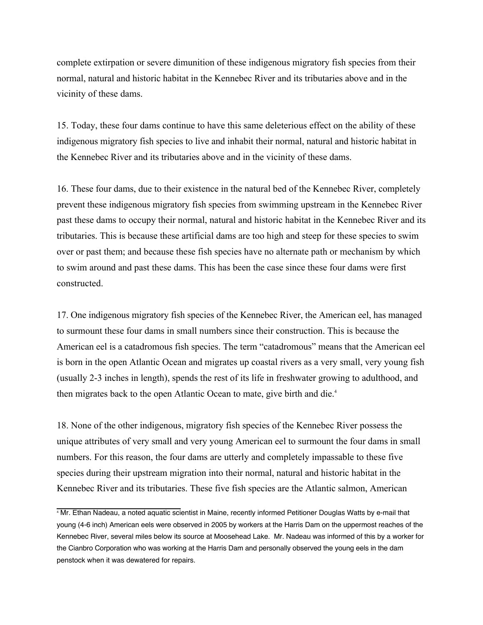complete extirpation or severe dimunition of these indigenous migratory fish species from their normal, natural and historic habitat in the Kennebec River and its tributaries above and in the vicinity of these dams.

15. Today, these four dams continue to have this same deleterious effect on the ability of these indigenous migratory fish species to live and inhabit their normal, natural and historic habitat in the Kennebec River and its tributaries above and in the vicinity of these dams.

16. These four dams, due to their existence in the natural bed of the Kennebec River, completely prevent these indigenous migratory fish species from swimming upstream in the Kennebec River past these dams to occupy their normal, natural and historic habitat in the Kennebec River and its tributaries. This is because these artificial dams are too high and steep for these species to swim over or past them; and because these fish species have no alternate path or mechanism by which to swim around and past these dams. This has been the case since these four dams were first constructed.

17. One indigenous migratory fish species of the Kennebec River, the American eel, has managed to surmount these four dams in small numbers since their construction. This is because the American eel is a catadromous fish species. The term "catadromous" means that the American eel is born in the open Atlantic Ocean and migrates up coastal rivers as a very small, very young fish (usually 2-3 inches in length), spends the rest of its life in freshwater growing to adulthood, and then migrates back to the open Atlantic Ocean to mate, give birth and die.<sup>4</sup>

18. None of the other indigenous, migratory fish species of the Kennebec River possess the unique attributes of very small and very young American eel to surmount the four dams in small numbers. For this reason, the four dams are utterly and completely impassable to these five species during their upstream migration into their normal, natural and historic habitat in the Kennebec River and its tributaries. These five fish species are the Atlantic salmon, American

<sup>4</sup> Mr. Ethan Nadeau, a noted aquatic scientist in Maine, recently informed Petitioner Douglas Watts by e-mail that young (4-6 inch) American eels were observed in 2005 by workers at the Harris Dam on the uppermost reaches of the Kennebec River, several miles below its source at Moosehead Lake. Mr. Nadeau was informed of this by a worker for the Cianbro Corporation who was working at the Harris Dam and personally observed the young eels in the dam penstock when it was dewatered for repairs.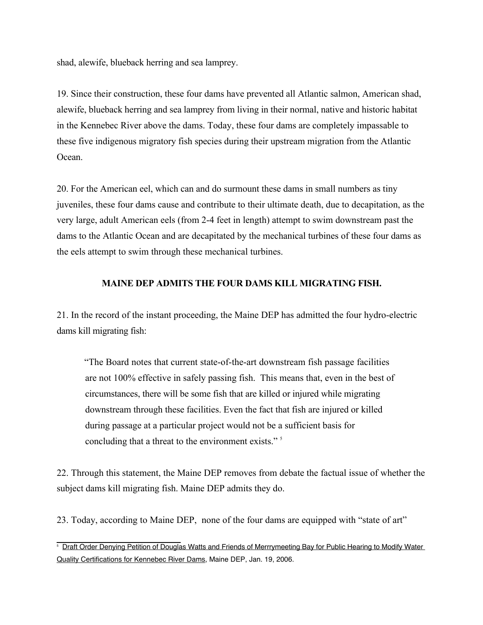shad, alewife, blueback herring and sea lamprey.

19. Since their construction, these four dams have prevented all Atlantic salmon, American shad, alewife, blueback herring and sea lamprey from living in their normal, native and historic habitat in the Kennebec River above the dams. Today, these four dams are completely impassable to these five indigenous migratory fish species during their upstream migration from the Atlantic Ocean.

20. For the American eel, which can and do surmount these dams in small numbers as tiny juveniles, these four dams cause and contribute to their ultimate death, due to decapitation, as the very large, adult American eels (from 2-4 feet in length) attempt to swim downstream past the dams to the Atlantic Ocean and are decapitated by the mechanical turbines of these four dams as the eels attempt to swim through these mechanical turbines.

## **MAINE DEP ADMITS THE FOUR DAMS KILL MIGRATING FISH.**

21. In the record of the instant proceeding, the Maine DEP has admitted the four hydro-electric dams kill migrating fish:

"The Board notes that current state-of-the-art downstream fish passage facilities are not 100% effective in safely passing fish. This means that, even in the best of circumstances, there will be some fish that are killed or injured while migrating downstream through these facilities. Even the fact that fish are injured or killed during passage at a particular project would not be a sufficient basis for concluding that a threat to the environment exists."<sup>5</sup>

22. Through this statement, the Maine DEP removes from debate the factual issue of whether the subject dams kill migrating fish. Maine DEP admits they do.

23. Today, according to Maine DEP, none of the four dams are equipped with "state of art"

**Draft Order Denying Petition of Douglas Watts and Friends of Merrrymeeting Bay for Public Hearing to Modify Water** Quality Certifications for Kennebec River Dams, Maine DEP, Jan. 19, 2006.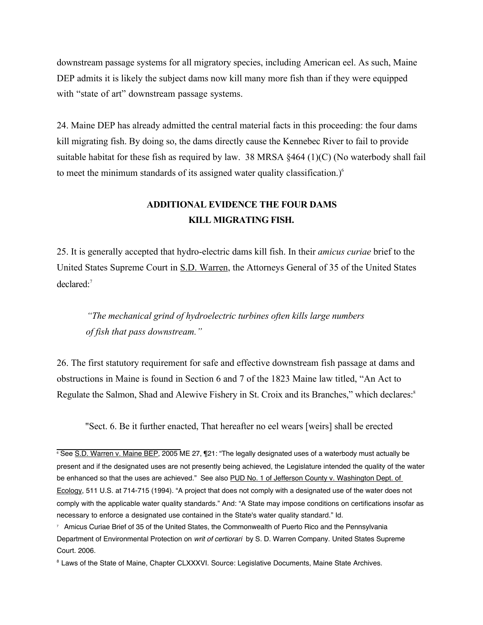downstream passage systems for all migratory species, including American eel. As such, Maine DEP admits it is likely the subject dams now kill many more fish than if they were equipped with "state of art" downstream passage systems.

24. Maine DEP has already admitted the central material facts in this proceeding: the four dams kill migrating fish. By doing so, the dams directly cause the Kennebec River to fail to provide suitable habitat for these fish as required by law. 38 MRSA §464 (1)(C) (No waterbody shall fail to meet the minimum standards of its assigned water quality classification.) $<sup>6</sup>$ </sup>

## **ADDITIONAL EVIDENCE THE FOUR DAMS KILL MIGRATING FISH.**

25. It is generally accepted that hydro-electric dams kill fish. In their *amicus curiae* brief to the United States Supreme Court in S.D. Warren, the Attorneys General of 35 of the United States declared:7

*"The mechanical grind of hydroelectric turbines often kills large numbers of fish that pass downstream."* 

26. The first statutory requirement for safe and effective downstream fish passage at dams and obstructions in Maine is found in Section 6 and 7 of the 1823 Maine law titled, "An Act to Regulate the Salmon, Shad and Alewive Fishery in St. Croix and its Branches," which declares:<sup>8</sup>

"Sect. 6. Be it further enacted, That hereafter no eel wears [weirs] shall be erected

<sup>6</sup> See S.D. Warren v. Maine BEP, 2005 ME 27, ¶21: "The legally designated uses of a waterbody must actually be present and if the designated uses are not presently being achieved, the Legislature intended the quality of the water be enhanced so that the uses are achieved." See also PUD No. 1 of Jefferson County v. Washington Dept. of Ecology, 511 U.S. at 714-715 (1994). "A project that does not comply with a designated use of the water does not comply with the applicable water quality standards." And: "A State may impose conditions on certifications insofar as necessary to enforce a designated use contained in the State's water quality standard." Id.

<sup>7</sup> Amicus Curiae Brief of 35 of the United States, the Commonwealth of Puerto Rico and the Pennsylvania Department of Environmental Protection on writ of certiorari by S. D. Warren Company. United States Supreme Court. 2006.

<sup>&</sup>lt;sup>8</sup> Laws of the State of Maine, Chapter CLXXXVI. Source: Legislative Documents, Maine State Archives.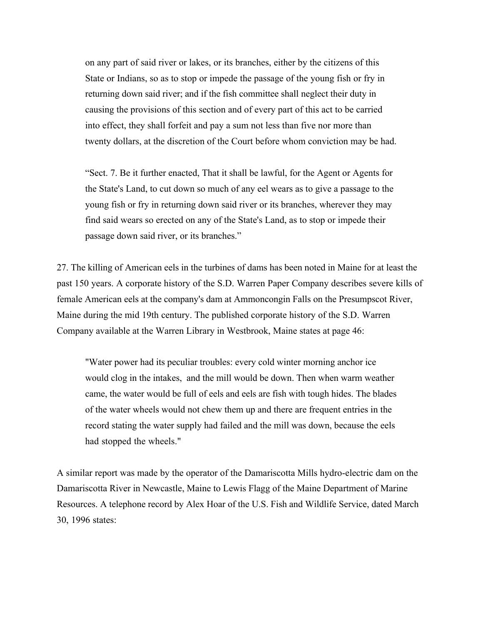on any part of said river or lakes, or its branches, either by the citizens of this State or Indians, so as to stop or impede the passage of the young fish or fry in returning down said river; and if the fish committee shall neglect their duty in causing the provisions of this section and of every part of this act to be carried into effect, they shall forfeit and pay a sum not less than five nor more than twenty dollars, at the discretion of the Court before whom conviction may be had.

"Sect. 7. Be it further enacted, That it shall be lawful, for the Agent or Agents for the State's Land, to cut down so much of any eel wears as to give a passage to the young fish or fry in returning down said river or its branches, wherever they may find said wears so erected on any of the State's Land, as to stop or impede their passage down said river, or its branches."

27. The killing of American eels in the turbines of dams has been noted in Maine for at least the past 150 years. A corporate history of the S.D. Warren Paper Company describes severe kills of female American eels at the company's dam at Ammoncongin Falls on the Presumpscot River, Maine during the mid 19th century. The published corporate history of the S.D. Warren Company available at the Warren Library in Westbrook, Maine states at page 46:

"Water power had its peculiar troubles: every cold winter morning anchor ice would clog in the intakes, and the mill would be down. Then when warm weather came, the water would be full of eels and eels are fish with tough hides. The blades of the water wheels would not chew them up and there are frequent entries in the record stating the water supply had failed and the mill was down, because the eels had stopped the wheels."

A similar report was made by the operator of the Damariscotta Mills hydro-electric dam on the Damariscotta River in Newcastle, Maine to Lewis Flagg of the Maine Department of Marine Resources. A telephone record by Alex Hoar of the U.S. Fish and Wildlife Service, dated March 30, 1996 states: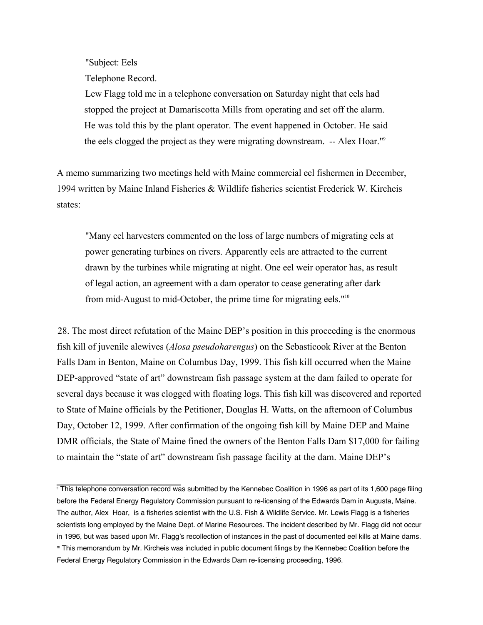"Subject: Eels

Telephone Record.

Lew Flagg told me in a telephone conversation on Saturday night that eels had stopped the project at Damariscotta Mills from operating and set off the alarm. He was told this by the plant operator. The event happened in October. He said the eels clogged the project as they were migrating downstream. -- Alex Hoar."9

A memo summarizing two meetings held with Maine commercial eel fishermen in December, 1994 written by Maine Inland Fisheries & Wildlife fisheries scientist Frederick W. Kircheis states:

"Many eel harvesters commented on the loss of large numbers of migrating eels at power generating turbines on rivers. Apparently eels are attracted to the current drawn by the turbines while migrating at night. One eel weir operator has, as result of legal action, an agreement with a dam operator to cease generating after dark from mid-August to mid-October, the prime time for migrating eels."10

28. The most direct refutation of the Maine DEP's position in this proceeding is the enormous fish kill of juvenile alewives (*Alosa pseudoharengus*) on the Sebasticook River at the Benton Falls Dam in Benton, Maine on Columbus Day, 1999. This fish kill occurred when the Maine DEP-approved "state of art" downstream fish passage system at the dam failed to operate for several days because it was clogged with floating logs. This fish kill was discovered and reported to State of Maine officials by the Petitioner, Douglas H. Watts, on the afternoon of Columbus Day, October 12, 1999. After confirmation of the ongoing fish kill by Maine DEP and Maine DMR officials, the State of Maine fined the owners of the Benton Falls Dam \$17,000 for failing to maintain the "state of art" downstream fish passage facility at the dam. Maine DEP's

<sup>9</sup> This telephone conversation record was submitted by the Kennebec Coalition in 1996 as part of its 1,600 page filing before the Federal Energy Regulatory Commission pursuant to re-licensing of the Edwards Dam in Augusta, Maine. The author, Alex Hoar, is a fisheries scientist with the U.S. Fish & Wildlife Service. Mr. Lewis Flagg is a fisheries scientists long employed by the Maine Dept. of Marine Resources. The incident described by Mr. Flagg did not occur in 1996, but was based upon Mr. Flagg's recollection of instances in the past of documented eel kills at Maine dams. <sup>10</sup> This memorandum by Mr. Kircheis was included in public document filings by the Kennebec Coalition before the Federal Energy Regulatory Commission in the Edwards Dam re-licensing proceeding, 1996.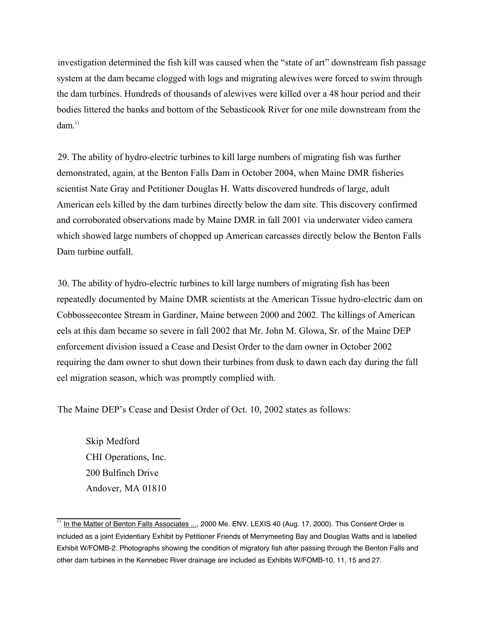investigation determined the fish kill was caused when the "state of art" downstream fish passage system at the dam became clogged with logs and migrating alewives were forced to swim through the dam turbines. Hundreds of thousands of alewives were killed over a 48 hour period and their bodies littered the banks and bottom of the Sebasticook River for one mile downstream from the dam $11$ 

29. The ability of hydro-electric turbines to kill large numbers of migrating fish was further demonstrated, again, at the Benton Falls Dam in October 2004, when Maine DMR fisheries scientist Nate Gray and Petitioner Douglas H. Watts discovered hundreds of large, adult American eels killed by the dam turbines directly below the dam site. This discovery confirmed and corroborated observations made by Maine DMR in fall 2001 via underwater video camera which showed large numbers of chopped up American carcasses directly below the Benton Falls Dam turbine outfall.

30. The ability of hydro-electric turbines to kill large numbers of migrating fish has been repeatedly documented by Maine DMR scientists at the American Tissue hydro-electric dam on Cobbosseecontee Stream in Gardiner, Maine between 2000 and 2002. The killings of American eels at this dam became so severe in fall 2002 that Mr. John M. Glowa, Sr. of the Maine DEP enforcement division issued a Cease and Desist Order to the dam owner in October 2002 requiring the dam owner to shut down their turbines from dusk to dawn each day during the fall eel migration season, which was promptly complied with.

The Maine DEP's Cease and Desist Order of Oct. 10, 2002 states as follows:

Skip Medford CHI Operations, Inc. 200 Bulfinch Drive Andover, MA 01810

<sup>&</sup>lt;sup>11</sup> In the Matter of Benton Falls Associates ..., 2000 Me. ENV. LEXIS 40 (Aug. 17, 2000). This Consent Order is included as a joint Evidentiary Exhibit by Petitioner Friends of Merrymeeting Bay and Douglas Watts and is labelled Exhibit W/FOMB-2. Photographs showing the condition of migratory fish after passing through the Benton Falls and other dam turbines in the Kennebec River drainage are included as Exhibits W/FOMB-10, 11, 15 and 27.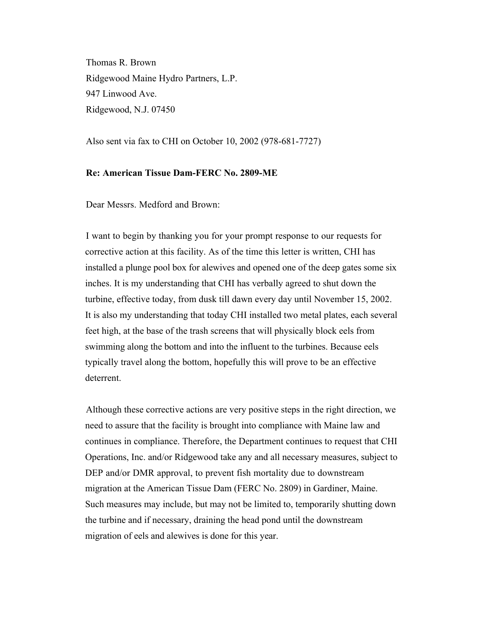Thomas R. Brown Ridgewood Maine Hydro Partners, L.P. 947 Linwood Ave. Ridgewood, N.J. 07450

Also sent via fax to CHI on October 10, 2002 (978-681-7727)

### **Re: American Tissue Dam-FERC No. 2809-ME**

Dear Messrs. Medford and Brown:

I want to begin by thanking you for your prompt response to our requests for corrective action at this facility. As of the time this letter is written, CHI has installed a plunge pool box for alewives and opened one of the deep gates some six inches. It is my understanding that CHI has verbally agreed to shut down the turbine, effective today, from dusk till dawn every day until November 15, 2002. It is also my understanding that today CHI installed two metal plates, each several feet high, at the base of the trash screens that will physically block eels from swimming along the bottom and into the influent to the turbines. Because eels typically travel along the bottom, hopefully this will prove to be an effective deterrent.

Although these corrective actions are very positive steps in the right direction, we need to assure that the facility is brought into compliance with Maine law and continues in compliance. Therefore, the Department continues to request that CHI Operations, Inc. and/or Ridgewood take any and all necessary measures, subject to DEP and/or DMR approval, to prevent fish mortality due to downstream migration at the American Tissue Dam (FERC No. 2809) in Gardiner, Maine. Such measures may include, but may not be limited to, temporarily shutting down the turbine and if necessary, draining the head pond until the downstream migration of eels and alewives is done for this year.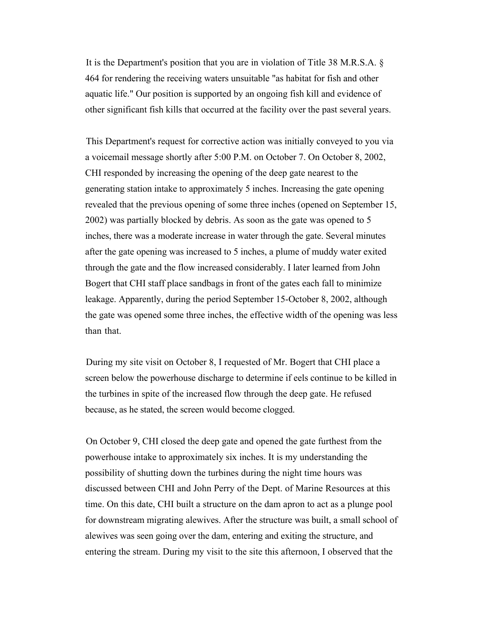It is the Department's position that you are in violation of Title 38 M.R.S.A. § 464 for rendering the receiving waters unsuitable "as habitat for fish and other aquatic life." Our position is supported by an ongoing fish kill and evidence of other significant fish kills that occurred at the facility over the past several years.

This Department's request for corrective action was initially conveyed to you via a voicemail message shortly after 5:00 P.M. on October 7. On October 8, 2002, CHI responded by increasing the opening of the deep gate nearest to the generating station intake to approximately 5 inches. Increasing the gate opening revealed that the previous opening of some three inches (opened on September 15, 2002) was partially blocked by debris. As soon as the gate was opened to 5 inches, there was a moderate increase in water through the gate. Several minutes after the gate opening was increased to 5 inches, a plume of muddy water exited through the gate and the flow increased considerably. I later learned from John Bogert that CHI staff place sandbags in front of the gates each fall to minimize leakage. Apparently, during the period September 15-October 8, 2002, although the gate was opened some three inches, the effective width of the opening was less than that.

During my site visit on October 8, I requested of Mr. Bogert that CHI place a screen below the powerhouse discharge to determine if eels continue to be killed in the turbines in spite of the increased flow through the deep gate. He refused because, as he stated, the screen would become clogged.

On October 9, CHI closed the deep gate and opened the gate furthest from the powerhouse intake to approximately six inches. It is my understanding the possibility of shutting down the turbines during the night time hours was discussed between CHI and John Perry of the Dept. of Marine Resources at this time. On this date, CHI built a structure on the dam apron to act as a plunge pool for downstream migrating alewives. After the structure was built, a small school of alewives was seen going over the dam, entering and exiting the structure, and entering the stream. During my visit to the site this afternoon, I observed that the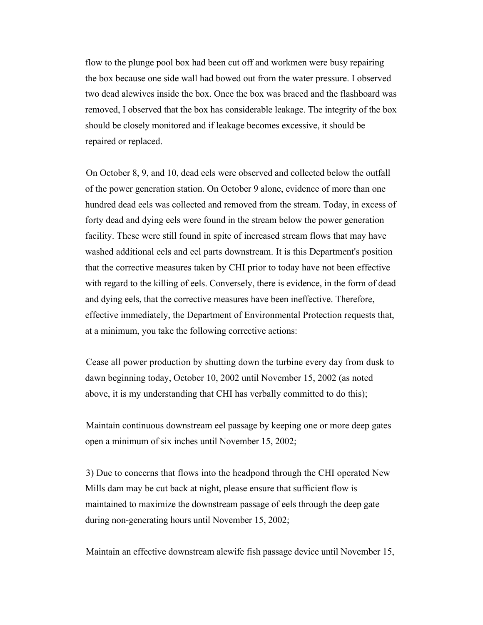flow to the plunge pool box had been cut off and workmen were busy repairing the box because one side wall had bowed out from the water pressure. I observed two dead alewives inside the box. Once the box was braced and the flashboard was removed, I observed that the box has considerable leakage. The integrity of the box should be closely monitored and if leakage becomes excessive, it should be repaired or replaced.

On October 8, 9, and 10, dead eels were observed and collected below the outfall of the power generation station. On October 9 alone, evidence of more than one hundred dead eels was collected and removed from the stream. Today, in excess of forty dead and dying eels were found in the stream below the power generation facility. These were still found in spite of increased stream flows that may have washed additional eels and eel parts downstream. It is this Department's position that the corrective measures taken by CHI prior to today have not been effective with regard to the killing of eels. Conversely, there is evidence, in the form of dead and dying eels, that the corrective measures have been ineffective. Therefore, effective immediately, the Department of Environmental Protection requests that, at a minimum, you take the following corrective actions:

Cease all power production by shutting down the turbine every day from dusk to dawn beginning today, October 10, 2002 until November 15, 2002 (as noted above, it is my understanding that CHI has verbally committed to do this);

Maintain continuous downstream eel passage by keeping one or more deep gates open a minimum of six inches until November 15, 2002;

3) Due to concerns that flows into the headpond through the CHI operated New Mills dam may be cut back at night, please ensure that sufficient flow is maintained to maximize the downstream passage of eels through the deep gate during non-generating hours until November 15, 2002;

Maintain an effective downstream alewife fish passage device until November 15,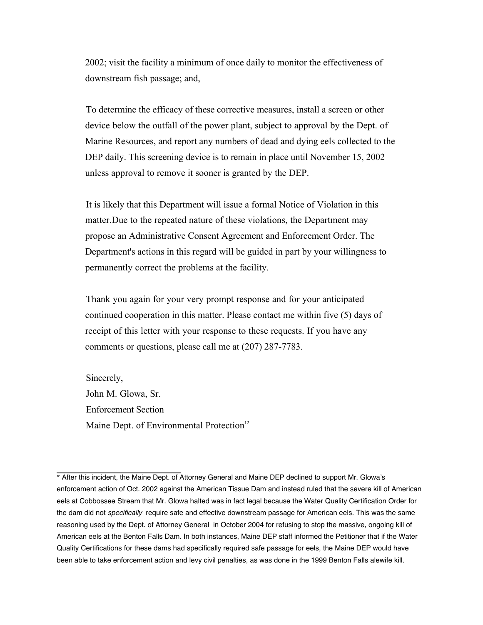2002; visit the facility a minimum of once daily to monitor the effectiveness of downstream fish passage; and,

To determine the efficacy of these corrective measures, install a screen or other device below the outfall of the power plant, subject to approval by the Dept. of Marine Resources, and report any numbers of dead and dying eels collected to the DEP daily. This screening device is to remain in place until November 15, 2002 unless approval to remove it sooner is granted by the DEP.

It is likely that this Department will issue a formal Notice of Violation in this matter.Due to the repeated nature of these violations, the Department may propose an Administrative Consent Agreement and Enforcement Order. The Department's actions in this regard will be guided in part by your willingness to permanently correct the problems at the facility.

Thank you again for your very prompt response and for your anticipated continued cooperation in this matter. Please contact me within five (5) days of receipt of this letter with your response to these requests. If you have any comments or questions, please call me at (207) 287-7783.

Sincerely, John M. Glowa, Sr. Enforcement Section Maine Dept. of Environmental Protection<sup>12</sup>

<sup>&</sup>lt;sup>12</sup> After this incident, the Maine Dept. of Attorney General and Maine DEP declined to support Mr. Glowa's enforcement action of Oct. 2002 against the American Tissue Dam and instead ruled that the severe kill of American eels at Cobbossee Stream that Mr. Glowa halted was in fact legal because the Water Quality Certification Order for the dam did not *specifically* require safe and effective downstream passage for American eels. This was the same reasoning used by the Dept. of Attorney General in October 2004 for refusing to stop the massive, ongoing kill of American eels at the Benton Falls Dam. In both instances, Maine DEP staff informed the Petitioner that if the Water Quality Certifications for these dams had specifically required safe passage for eels, the Maine DEP would have been able to take enforcement action and levy civil penalties, as was done in the 1999 Benton Falls alewife kill.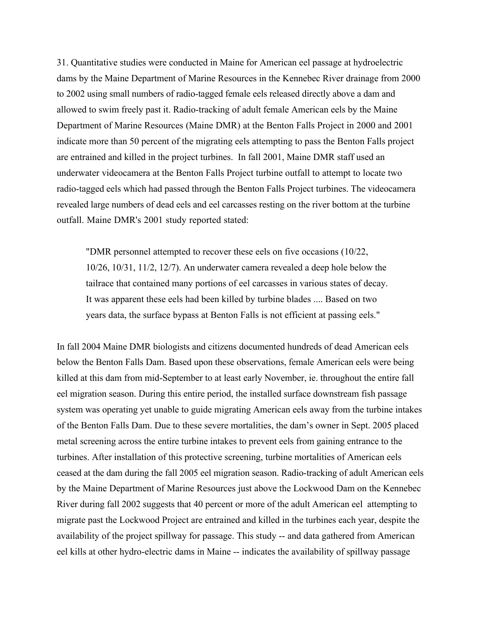31. Quantitative studies were conducted in Maine for American eel passage at hydroelectric dams by the Maine Department of Marine Resources in the Kennebec River drainage from 2000 to 2002 using small numbers of radio-tagged female eels released directly above a dam and allowed to swim freely past it. Radio-tracking of adult female American eels by the Maine Department of Marine Resources (Maine DMR) at the Benton Falls Project in 2000 and 2001 indicate more than 50 percent of the migrating eels attempting to pass the Benton Falls project are entrained and killed in the project turbines. In fall 2001, Maine DMR staff used an underwater videocamera at the Benton Falls Project turbine outfall to attempt to locate two radio-tagged eels which had passed through the Benton Falls Project turbines. The videocamera revealed large numbers of dead eels and eel carcasses resting on the river bottom at the turbine outfall. Maine DMR's 2001 study reported stated:

"DMR personnel attempted to recover these eels on five occasions (10/22, 10/26, 10/31, 11/2, 12/7). An underwater camera revealed a deep hole below the tailrace that contained many portions of eel carcasses in various states of decay. It was apparent these eels had been killed by turbine blades .... Based on two years data, the surface bypass at Benton Falls is not efficient at passing eels."

In fall 2004 Maine DMR biologists and citizens documented hundreds of dead American eels below the Benton Falls Dam. Based upon these observations, female American eels were being killed at this dam from mid-September to at least early November, ie. throughout the entire fall eel migration season. During this entire period, the installed surface downstream fish passage system was operating yet unable to guide migrating American eels away from the turbine intakes of the Benton Falls Dam. Due to these severe mortalities, the dam's owner in Sept. 2005 placed metal screening across the entire turbine intakes to prevent eels from gaining entrance to the turbines. After installation of this protective screening, turbine mortalities of American eels ceased at the dam during the fall 2005 eel migration season. Radio-tracking of adult American eels by the Maine Department of Marine Resources just above the Lockwood Dam on the Kennebec River during fall 2002 suggests that 40 percent or more of the adult American eel attempting to migrate past the Lockwood Project are entrained and killed in the turbines each year, despite the availability of the project spillway for passage. This study -- and data gathered from American eel kills at other hydro-electric dams in Maine -- indicates the availability of spillway passage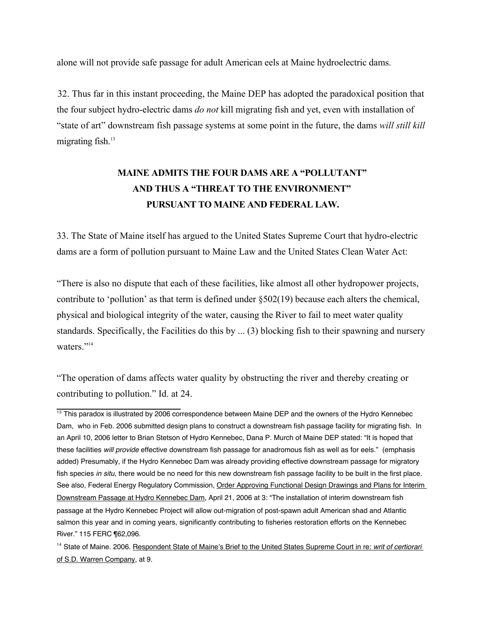alone will not provide safe passage for adult American eels at Maine hydroelectric dams.

32. Thus far in this instant proceeding, the Maine DEP has adopted the paradoxical position that the four subject hydro-electric dams *do not* kill migrating fish and yet, even with installation of "state of art" downstream fish passage systems at some point in the future, the dams *will still kill* migrating fish. $13$ 

# **MAINE ADMITS THE FOUR DAMS ARE A "POLLUTANT" AND THUS A "THREAT TO THE ENVIRONMENT" PURSUANT TO MAINE AND FEDERAL LAW.**

33. The State of Maine itself has argued to the United States Supreme Court that hydro-electric dams are a form of pollution pursuant to Maine Law and the United States Clean Water Act:

"There is also no dispute that each of these facilities, like almost all other hydropower projects, contribute to 'pollution' as that term is defined under §502(19) because each alters the chemical, physical and biological integrity of the water, causing the River to fail to meet water quality standards. Specifically, the Facilities do this by ... (3) blocking fish to their spawning and nursery waters."<sup>14</sup>

"The operation of dams affects water quality by obstructing the river and thereby creating or contributing to pollution." Id. at 24.

 $\frac{13}{13}$  This paradox is illustrated by 2006 correspondence between Maine DEP and the owners of the Hydro Kennebec Dam, who in Feb. 2006 submitted design plans to construct a downstream fish passage facility for migrating fish. In an April 10, 2006 letter to Brian Stetson of Hydro Kennebec, Dana P. Murch of Maine DEP stated: "It is hoped that these facilities will provide effective downstream fish passage for anadromous fish as well as for eels." (emphasis added) Presumably, if the Hydro Kennebec Dam was already providing effective downstream passage for migratory fish species in situ, there would be no need for this new downstream fish passage facility to be built in the first place. See also, Federal Energy Regulatory Commission, Order Approving Functional Design Drawings and Plans for Interim Downstream Passage at Hydro Kennebec Dam, April 21, 2006 at 3: "The installation of interim downstream fish passage at the Hydro Kennebec Project will allow out-migration of post-spawn adult American shad and Atlantic salmon this year and in coming years, significantly contributing to fisheries restoration efforts on the Kennebec River." 115 FERC ¶62,096.

<sup>&</sup>lt;sup>14</sup> State of Maine. 2006. Respondent State of Maine's Brief to the United States Supreme Court in re: writ of certiorari of S.D. Warren Company, at 9.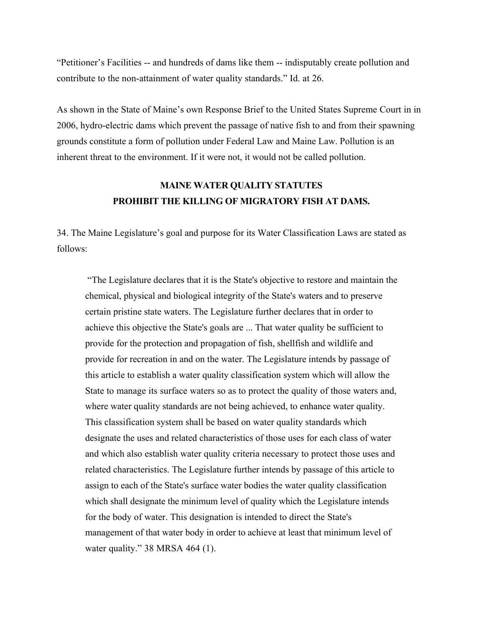"Petitioner's Facilities -- and hundreds of dams like them -- indisputably create pollution and contribute to the non-attainment of water quality standards." Id. at 26.

As shown in the State of Maine's own Response Brief to the United States Supreme Court in in 2006, hydro-electric dams which prevent the passage of native fish to and from their spawning grounds constitute a form of pollution under Federal Law and Maine Law. Pollution is an inherent threat to the environment. If it were not, it would not be called pollution.

## **MAINE WATER QUALITY STATUTES PROHIBIT THE KILLING OF MIGRATORY FISH AT DAMS.**

34. The Maine Legislature's goal and purpose for its Water Classification Laws are stated as follows:

 "The Legislature declares that it is the State's objective to restore and maintain the chemical, physical and biological integrity of the State's waters and to preserve certain pristine state waters. The Legislature further declares that in order to achieve this objective the State's goals are ... That water quality be sufficient to provide for the protection and propagation of fish, shellfish and wildlife and provide for recreation in and on the water. The Legislature intends by passage of this article to establish a water quality classification system which will allow the State to manage its surface waters so as to protect the quality of those waters and, where water quality standards are not being achieved, to enhance water quality. This classification system shall be based on water quality standards which designate the uses and related characteristics of those uses for each class of water and which also establish water quality criteria necessary to protect those uses and related characteristics. The Legislature further intends by passage of this article to assign to each of the State's surface water bodies the water quality classification which shall designate the minimum level of quality which the Legislature intends for the body of water. This designation is intended to direct the State's management of that water body in order to achieve at least that minimum level of water quality." 38 MRSA 464 (1).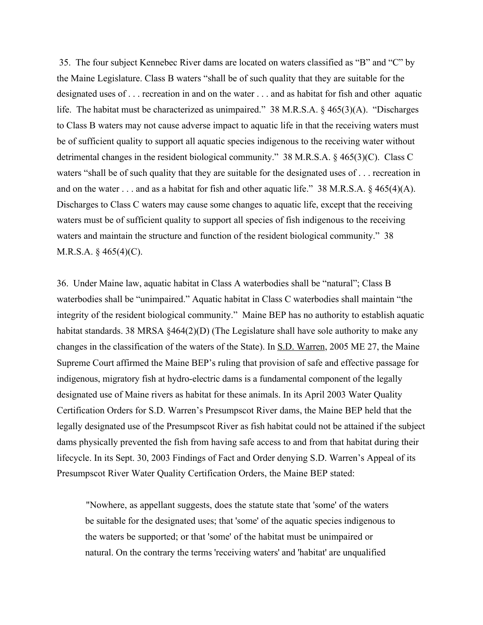35. The four subject Kennebec River dams are located on waters classified as "B" and "C" by the Maine Legislature. Class B waters "shall be of such quality that they are suitable for the designated uses of . . . recreation in and on the water . . . and as habitat for fish and other aquatic life. The habitat must be characterized as unimpaired." 38 M.R.S.A. § 465(3)(A). "Discharges to Class B waters may not cause adverse impact to aquatic life in that the receiving waters must be of sufficient quality to support all aquatic species indigenous to the receiving water without detrimental changes in the resident biological community." 38 M.R.S.A. § 465(3)(C). Class C waters "shall be of such quality that they are suitable for the designated uses of . . . recreation in and on the water . . . and as a habitat for fish and other aquatic life." 38 M.R.S.A. § 465(4)(A). Discharges to Class C waters may cause some changes to aquatic life, except that the receiving waters must be of sufficient quality to support all species of fish indigenous to the receiving waters and maintain the structure and function of the resident biological community." 38 M.R.S.A.  $\S$  465(4)(C).

36. Under Maine law, aquatic habitat in Class A waterbodies shall be "natural"; Class B waterbodies shall be "unimpaired." Aquatic habitat in Class C waterbodies shall maintain "the integrity of the resident biological community." Maine BEP has no authority to establish aquatic habitat standards. 38 MRSA §464(2)(D) (The Legislature shall have sole authority to make any changes in the classification of the waters of the State). In S.D. Warren, 2005 ME 27, the Maine Supreme Court affirmed the Maine BEP's ruling that provision of safe and effective passage for indigenous, migratory fish at hydro-electric dams is a fundamental component of the legally designated use of Maine rivers as habitat for these animals. In its April 2003 Water Quality Certification Orders for S.D. Warren's Presumpscot River dams, the Maine BEP held that the legally designated use of the Presumpscot River as fish habitat could not be attained if the subject dams physically prevented the fish from having safe access to and from that habitat during their lifecycle. In its Sept. 30, 2003 Findings of Fact and Order denying S.D. Warren's Appeal of its Presumpscot River Water Quality Certification Orders, the Maine BEP stated:

"Nowhere, as appellant suggests, does the statute state that 'some' of the waters be suitable for the designated uses; that 'some' of the aquatic species indigenous to the waters be supported; or that 'some' of the habitat must be unimpaired or natural. On the contrary the terms 'receiving waters' and 'habitat' are unqualified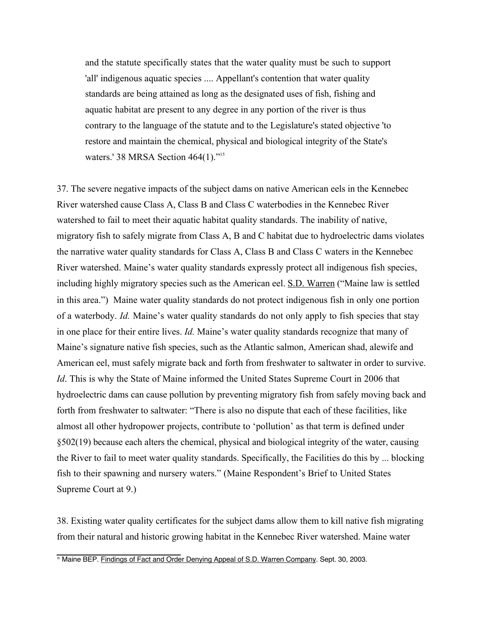and the statute specifically states that the water quality must be such to support 'all' indigenous aquatic species .... Appellant's contention that water quality standards are being attained as long as the designated uses of fish, fishing and aquatic habitat are present to any degree in any portion of the river is thus contrary to the language of the statute and to the Legislature's stated objective 'to restore and maintain the chemical, physical and biological integrity of the State's waters.' 38 MRSA Section 464(1)."<sup>15</sup>

37. The severe negative impacts of the subject dams on native American eels in the Kennebec River watershed cause Class A, Class B and Class C waterbodies in the Kennebec River watershed to fail to meet their aquatic habitat quality standards. The inability of native, migratory fish to safely migrate from Class A, B and C habitat due to hydroelectric dams violates the narrative water quality standards for Class A, Class B and Class C waters in the Kennebec River watershed. Maine's water quality standards expressly protect all indigenous fish species, including highly migratory species such as the American eel. S.D. Warren ("Maine law is settled in this area.") Maine water quality standards do not protect indigenous fish in only one portion of a waterbody. *Id.* Maine's water quality standards do not only apply to fish species that stay in one place for their entire lives. *Id.* Maine's water quality standards recognize that many of Maine's signature native fish species, such as the Atlantic salmon, American shad, alewife and American eel, must safely migrate back and forth from freshwater to saltwater in order to survive. *Id*. This is why the State of Maine informed the United States Supreme Court in 2006 that hydroelectric dams can cause pollution by preventing migratory fish from safely moving back and forth from freshwater to saltwater: "There is also no dispute that each of these facilities, like almost all other hydropower projects, contribute to 'pollution' as that term is defined under §502(19) because each alters the chemical, physical and biological integrity of the water, causing the River to fail to meet water quality standards. Specifically, the Facilities do this by ... blocking fish to their spawning and nursery waters." (Maine Respondent's Brief to United States Supreme Court at 9.)

38. Existing water quality certificates for the subject dams allow them to kill native fish migrating from their natural and historic growing habitat in the Kennebec River watershed. Maine water

<sup>&</sup>lt;sup>15</sup> Maine BEP. Findings of Fact and Order Denying Appeal of S.D. Warren Company. Sept. 30, 2003.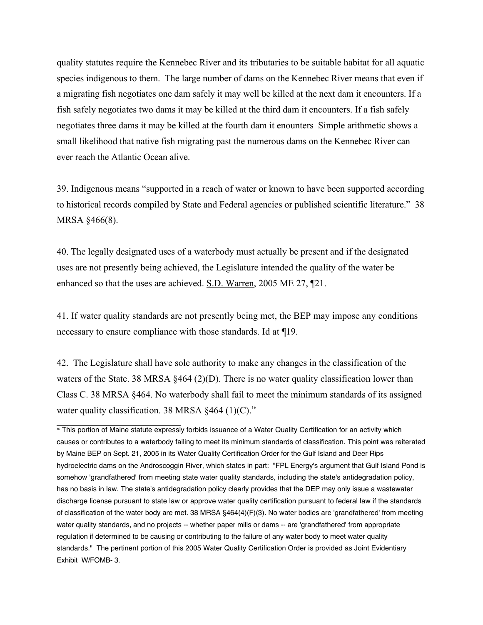quality statutes require the Kennebec River and its tributaries to be suitable habitat for all aquatic species indigenous to them. The large number of dams on the Kennebec River means that even if a migrating fish negotiates one dam safely it may well be killed at the next dam it encounters. If a fish safely negotiates two dams it may be killed at the third dam it encounters. If a fish safely negotiates three dams it may be killed at the fourth dam it enounters Simple arithmetic shows a small likelihood that native fish migrating past the numerous dams on the Kennebec River can ever reach the Atlantic Ocean alive.

39. Indigenous means "supported in a reach of water or known to have been supported according to historical records compiled by State and Federal agencies or published scientific literature." 38 MRSA §466(8).

40. The legally designated uses of a waterbody must actually be present and if the designated uses are not presently being achieved, the Legislature intended the quality of the water be enhanced so that the uses are achieved. S.D. Warren, 2005 ME 27, ¶21.

41. If water quality standards are not presently being met, the BEP may impose any conditions necessary to ensure compliance with those standards. Id at ¶19.

42. The Legislature shall have sole authority to make any changes in the classification of the waters of the State. 38 MRSA §464 (2)(D). There is no water quality classification lower than Class C. 38 MRSA §464. No waterbody shall fail to meet the minimum standards of its assigned water quality classification. 38 MRSA  $§464$  (1)(C).<sup>16</sup>

<sup>&</sup>lt;sup>16</sup> This portion of Maine statute expressly forbids issuance of a Water Quality Certification for an activity which causes or contributes to a waterbody failing to meet its minimum standards of classification. This point was reiterated by Maine BEP on Sept. 21, 2005 in its Water Quality Certification Order for the Gulf Island and Deer Rips hydroelectric dams on the Androscoggin River, which states in part: "FPL Energy's argument that Gulf Island Pond is somehow 'grandfathered' from meeting state water quality standards, including the state's antidegradation policy, has no basis in law. The state's antidegradation policy clearly provides that the DEP may only issue a wastewater discharge license pursuant to state law or approve water quality certification pursuant to federal law if the standards of classification of the water body are met. 38 MRSA §464(4)(F)(3). No water bodies are 'grandfathered' from meeting water quality standards, and no projects -- whether paper mills or dams -- are 'grandfathered' from appropriate regulation if determined to be causing or contributing to the failure of any water body to meet water quality standards." The pertinent portion of this 2005 Water Quality Certification Order is provided as Joint Evidentiary Exhibit W/FOMB- 3.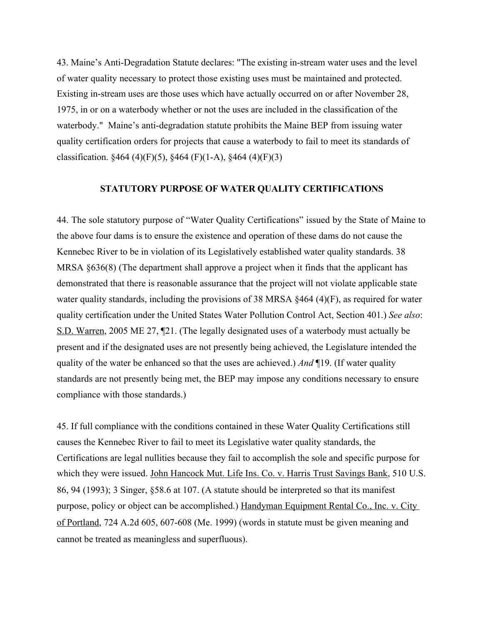43. Maine's Anti-Degradation Statute declares: "The existing in-stream water uses and the level of water quality necessary to protect those existing uses must be maintained and protected. Existing in-stream uses are those uses which have actually occurred on or after November 28, 1975, in or on a waterbody whether or not the uses are included in the classification of the waterbody." Maine's anti-degradation statute prohibits the Maine BEP from issuing water quality certification orders for projects that cause a waterbody to fail to meet its standards of classification.  $§464 (4)(F)(5)$ ,  $§464 (F)(1-A)$ ,  $§464 (4)(F)(3)$ 

### **STATUTORY PURPOSE OF WATER QUALITY CERTIFICATIONS**

44. The sole statutory purpose of "Water Quality Certifications" issued by the State of Maine to the above four dams is to ensure the existence and operation of these dams do not cause the Kennebec River to be in violation of its Legislatively established water quality standards. 38 MRSA §636(8) (The department shall approve a project when it finds that the applicant has demonstrated that there is reasonable assurance that the project will not violate applicable state water quality standards, including the provisions of 38 MRSA §464 (4)(F), as required for water quality certification under the United States Water Pollution Control Act, Section 401.) *See also*: S.D. Warren, 2005 ME 27, ¶21. (The legally designated uses of a waterbody must actually be present and if the designated uses are not presently being achieved, the Legislature intended the quality of the water be enhanced so that the uses are achieved.) *And* ¶19. (If water quality standards are not presently being met, the BEP may impose any conditions necessary to ensure compliance with those standards.)

45. If full compliance with the conditions contained in these Water Quality Certifications still causes the Kennebec River to fail to meet its Legislative water quality standards, the Certifications are legal nullities because they fail to accomplish the sole and specific purpose for which they were issued. John Hancock Mut. Life Ins. Co. v. Harris Trust Savings Bank, 510 U.S. 86, 94 (1993); 3 Singer, §58.6 at 107. (A statute should be interpreted so that its manifest purpose, policy or object can be accomplished.) Handyman Equipment Rental Co., Inc. v. City of Portland, 724 A.2d 605, 607-608 (Me. 1999) (words in statute must be given meaning and cannot be treated as meaningless and superfluous).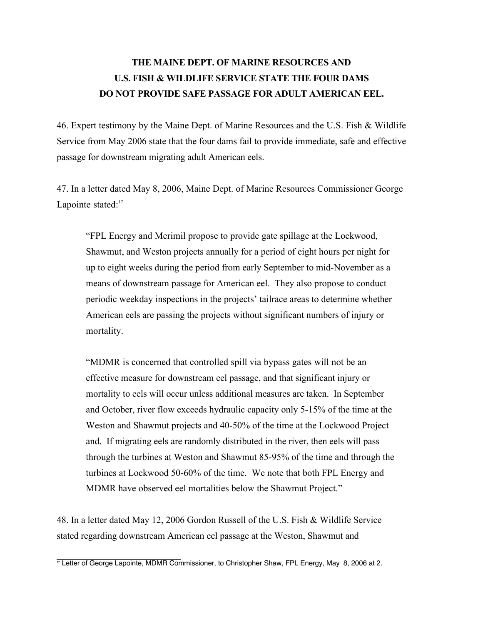# **THE MAINE DEPT. OF MARINE RESOURCES AND U.S. FISH & WILDLIFE SERVICE STATE THE FOUR DAMS DO NOT PROVIDE SAFE PASSAGE FOR ADULT AMERICAN EEL.**

46. Expert testimony by the Maine Dept. of Marine Resources and the U.S. Fish & Wildlife Service from May 2006 state that the four dams fail to provide immediate, safe and effective passage for downstream migrating adult American eels.

47. In a letter dated May 8, 2006, Maine Dept. of Marine Resources Commissioner George Lapointe stated:<sup>17</sup>

"FPL Energy and Merimil propose to provide gate spillage at the Lockwood, Shawmut, and Weston projects annually for a period of eight hours per night for up to eight weeks during the period from early September to mid-November as a means of downstream passage for American eel. They also propose to conduct periodic weekday inspections in the projects' tailrace areas to determine whether American eels are passing the projects without significant numbers of injury or mortality.

"MDMR is concerned that controlled spill via bypass gates will not be an effective measure for downstream eel passage, and that significant injury or mortality to eels will occur unless additional measures are taken. In September and October, river flow exceeds hydraulic capacity only 5-15% of the time at the Weston and Shawmut projects and 40-50% of the time at the Lockwood Project and. If migrating eels are randomly distributed in the river, then eels will pass through the turbines at Weston and Shawmut 85-95% of the time and through the turbines at Lockwood 50-60% of the time. We note that both FPL Energy and MDMR have observed eel mortalities below the Shawmut Project."

48. In a letter dated May 12, 2006 Gordon Russell of the U.S. Fish & Wildlife Service stated regarding downstream American eel passage at the Weston, Shawmut and

 $\frac{1}{17}$  Letter of George Lapointe, MDMR Commissioner, to Christopher Shaw, FPL Energy, May 8, 2006 at 2.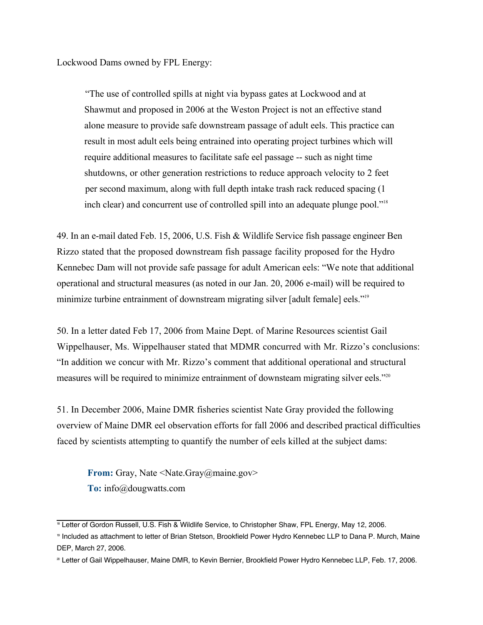Lockwood Dams owned by FPL Energy:

"The use of controlled spills at night via bypass gates at Lockwood and at Shawmut and proposed in 2006 at the Weston Project is not an effective stand alone measure to provide safe downstream passage of adult eels. This practice can result in most adult eels being entrained into operating project turbines which will require additional measures to facilitate safe eel passage -- such as night time shutdowns, or other generation restrictions to reduce approach velocity to 2 feet per second maximum, along with full depth intake trash rack reduced spacing (1 inch clear) and concurrent use of controlled spill into an adequate plunge pool."18

49. In an e-mail dated Feb. 15, 2006, U.S. Fish & Wildlife Service fish passage engineer Ben Rizzo stated that the proposed downstream fish passage facility proposed for the Hydro Kennebec Dam will not provide safe passage for adult American eels: "We note that additional operational and structural measures (as noted in our Jan. 20, 2006 e-mail) will be required to minimize turbine entrainment of downstream migrating silver [adult female] eels."19

50. In a letter dated Feb 17, 2006 from Maine Dept. of Marine Resources scientist Gail Wippelhauser, Ms. Wippelhauser stated that MDMR concurred with Mr. Rizzo's conclusions: "In addition we concur with Mr. Rizzo's comment that additional operational and structural measures will be required to minimize entrainment of downsteam migrating silver eels."20

51. In December 2006, Maine DMR fisheries scientist Nate Gray provided the following overview of Maine DMR eel observation efforts for fall 2006 and described practical difficulties faced by scientists attempting to quantify the number of eels killed at the subject dams:

**From:** Gray, Nate <Nate.Gray@maine.gov>  **To:** info@dougwatts.com

<sup>&</sup>lt;sup>18</sup> Letter of Gordon Russell, U.S. Fish & Wildlife Service, to Christopher Shaw, FPL Energy, May 12, 2006.

<sup>19</sup> Included as attachment to letter of Brian Stetson, Brookfield Power Hydro Kennebec LLP to Dana P. Murch, Maine DEP, March 27, 2006.

<sup>&</sup>lt;sup>20</sup> Letter of Gail Wippelhauser, Maine DMR, to Kevin Bernier, Brookfield Power Hydro Kennebec LLP, Feb. 17, 2006.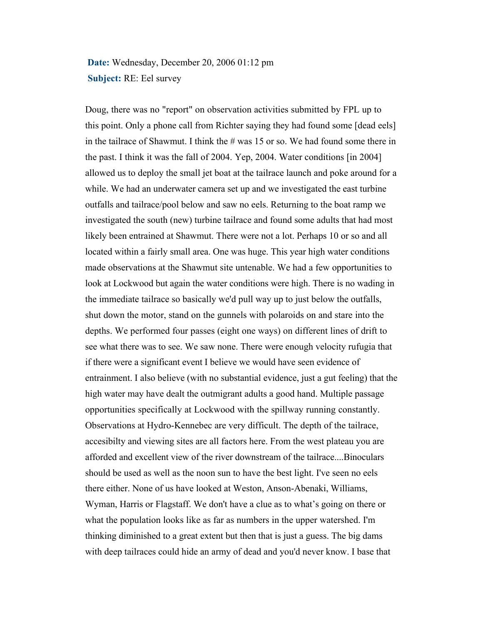**Date:** Wednesday, December 20, 2006 01:12 pm **Subject:** RE: Eel survey

Doug, there was no "report" on observation activities submitted by FPL up to this point. Only a phone call from Richter saying they had found some [dead eels] in the tailrace of Shawmut. I think the  $\#$  was 15 or so. We had found some there in the past. I think it was the fall of 2004. Yep, 2004. Water conditions [in 2004] allowed us to deploy the small jet boat at the tailrace launch and poke around for a while. We had an underwater camera set up and we investigated the east turbine outfalls and tailrace/pool below and saw no eels. Returning to the boat ramp we investigated the south (new) turbine tailrace and found some adults that had most likely been entrained at Shawmut. There were not a lot. Perhaps 10 or so and all located within a fairly small area. One was huge. This year high water conditions made observations at the Shawmut site untenable. We had a few opportunities to look at Lockwood but again the water conditions were high. There is no wading in the immediate tailrace so basically we'd pull way up to just below the outfalls, shut down the motor, stand on the gunnels with polaroids on and stare into the depths. We performed four passes (eight one ways) on different lines of drift to see what there was to see. We saw none. There were enough velocity rufugia that if there were a significant event I believe we would have seen evidence of entrainment. I also believe (with no substantial evidence, just a gut feeling) that the high water may have dealt the outmigrant adults a good hand. Multiple passage opportunities specifically at Lockwood with the spillway running constantly. Observations at Hydro-Kennebec are very difficult. The depth of the tailrace, accesibilty and viewing sites are all factors here. From the west plateau you are afforded and excellent view of the river downstream of the tailrace....Binoculars should be used as well as the noon sun to have the best light. I've seen no eels there either. None of us have looked at Weston, Anson-Abenaki, Williams, Wyman, Harris or Flagstaff. We don't have a clue as to what's going on there or what the population looks like as far as numbers in the upper watershed. I'm thinking diminished to a great extent but then that is just a guess. The big dams with deep tailraces could hide an army of dead and you'd never know. I base that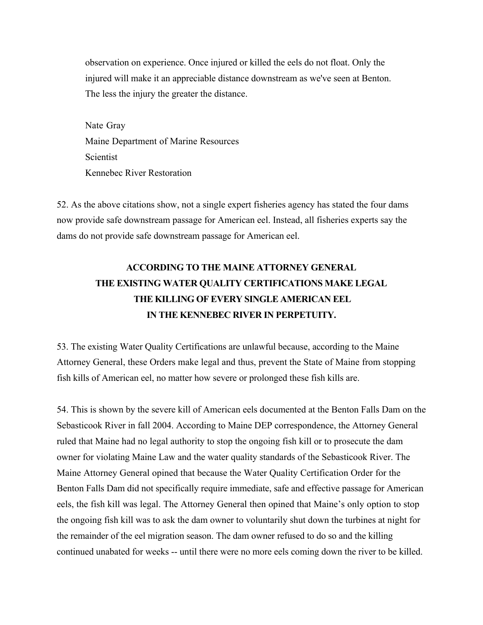observation on experience. Once injured or killed the eels do not float. Only the injured will make it an appreciable distance downstream as we've seen at Benton. The less the injury the greater the distance.

Nate Gray Maine Department of Marine Resources Scientist Kennebec River Restoration

52. As the above citations show, not a single expert fisheries agency has stated the four dams now provide safe downstream passage for American eel. Instead, all fisheries experts say the dams do not provide safe downstream passage for American eel.

# **ACCORDING TO THE MAINE ATTORNEY GENERAL THE EXISTING WATER QUALITY CERTIFICATIONS MAKE LEGAL THE KILLING OF EVERY SINGLE AMERICAN EEL IN THE KENNEBEC RIVER IN PERPETUITY.**

53. The existing Water Quality Certifications are unlawful because, according to the Maine Attorney General, these Orders make legal and thus, prevent the State of Maine from stopping fish kills of American eel, no matter how severe or prolonged these fish kills are.

54. This is shown by the severe kill of American eels documented at the Benton Falls Dam on the Sebasticook River in fall 2004. According to Maine DEP correspondence, the Attorney General ruled that Maine had no legal authority to stop the ongoing fish kill or to prosecute the dam owner for violating Maine Law and the water quality standards of the Sebasticook River. The Maine Attorney General opined that because the Water Quality Certification Order for the Benton Falls Dam did not specifically require immediate, safe and effective passage for American eels, the fish kill was legal. The Attorney General then opined that Maine's only option to stop the ongoing fish kill was to ask the dam owner to voluntarily shut down the turbines at night for the remainder of the eel migration season. The dam owner refused to do so and the killing continued unabated for weeks -- until there were no more eels coming down the river to be killed.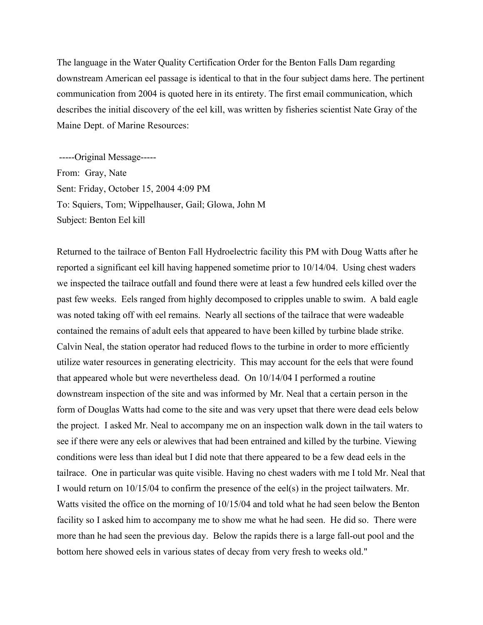The language in the Water Quality Certification Order for the Benton Falls Dam regarding downstream American eel passage is identical to that in the four subject dams here. The pertinent communication from 2004 is quoted here in its entirety. The first email communication, which describes the initial discovery of the eel kill, was written by fisheries scientist Nate Gray of the Maine Dept. of Marine Resources:

 -----Original Message----- From: Gray, Nate Sent: Friday, October 15, 2004 4:09 PM To: Squiers, Tom; Wippelhauser, Gail; Glowa, John M Subject: Benton Eel kill

Returned to the tailrace of Benton Fall Hydroelectric facility this PM with Doug Watts after he reported a significant eel kill having happened sometime prior to 10/14/04. Using chest waders we inspected the tailrace outfall and found there were at least a few hundred eels killed over the past few weeks. Eels ranged from highly decomposed to cripples unable to swim. A bald eagle was noted taking off with eel remains. Nearly all sections of the tailrace that were wadeable contained the remains of adult eels that appeared to have been killed by turbine blade strike. Calvin Neal, the station operator had reduced flows to the turbine in order to more efficiently utilize water resources in generating electricity. This may account for the eels that were found that appeared whole but were nevertheless dead. On 10/14/04 I performed a routine downstream inspection of the site and was informed by Mr. Neal that a certain person in the form of Douglas Watts had come to the site and was very upset that there were dead eels below the project. I asked Mr. Neal to accompany me on an inspection walk down in the tail waters to see if there were any eels or alewives that had been entrained and killed by the turbine. Viewing conditions were less than ideal but I did note that there appeared to be a few dead eels in the tailrace. One in particular was quite visible. Having no chest waders with me I told Mr. Neal that I would return on 10/15/04 to confirm the presence of the eel(s) in the project tailwaters. Mr. Watts visited the office on the morning of 10/15/04 and told what he had seen below the Benton facility so I asked him to accompany me to show me what he had seen. He did so. There were more than he had seen the previous day. Below the rapids there is a large fall-out pool and the bottom here showed eels in various states of decay from very fresh to weeks old."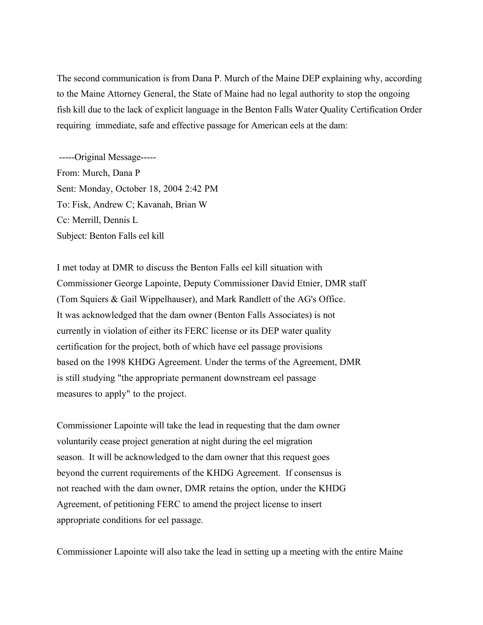The second communication is from Dana P. Murch of the Maine DEP explaining why, according to the Maine Attorney General, the State of Maine had no legal authority to stop the ongoing fish kill due to the lack of explicit language in the Benton Falls Water Quality Certification Order requiring immediate, safe and effective passage for American eels at the dam:

 -----Original Message----- From: Murch, Dana P Sent: Monday, October 18, 2004 2:42 PM To: Fisk, Andrew C; Kavanah, Brian W Cc: Merrill, Dennis L Subject: Benton Falls eel kill

I met today at DMR to discuss the Benton Falls eel kill situation with Commissioner George Lapointe, Deputy Commissioner David Etnier, DMR staff (Tom Squiers & Gail Wippelhauser), and Mark Randlett of the AG's Office. It was acknowledged that the dam owner (Benton Falls Associates) is not currently in violation of either its FERC license or its DEP water quality certification for the project, both of which have eel passage provisions based on the 1998 KHDG Agreement. Under the terms of the Agreement, DMR is still studying "the appropriate permanent downstream eel passage measures to apply" to the project.

Commissioner Lapointe will take the lead in requesting that the dam owner voluntarily cease project generation at night during the eel migration season. It will be acknowledged to the dam owner that this request goes beyond the current requirements of the KHDG Agreement. If consensus is not reached with the dam owner, DMR retains the option, under the KHDG Agreement, of petitioning FERC to amend the project license to insert appropriate conditions for eel passage.

Commissioner Lapointe will also take the lead in setting up a meeting with the entire Maine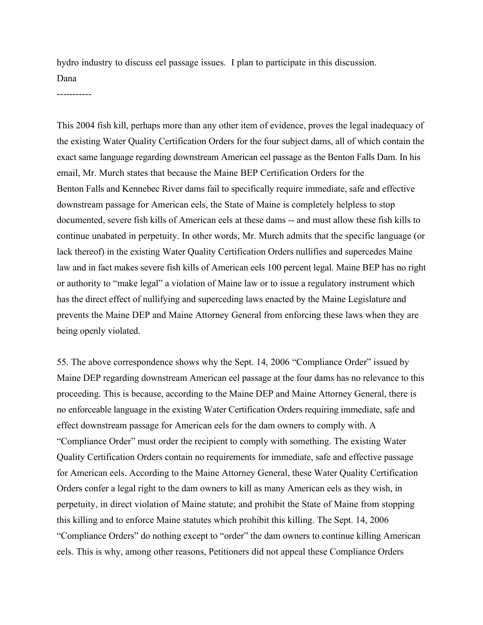hydro industry to discuss eel passage issues. I plan to participate in this discussion. Dana

-----------

This 2004 fish kill, perhaps more than any other item of evidence, proves the legal inadequacy of the existing Water Quality Certification Orders for the four subject dams, all of which contain the exact same language regarding downstream American eel passage as the Benton Falls Dam. In his email, Mr. Murch states that because the Maine BEP Certification Orders for the Benton Falls and Kennebec River dams fail to specifically require immediate, safe and effective downstream passage for American eels, the State of Maine is completely helpless to stop documented, severe fish kills of American eels at these dams -- and must allow these fish kills to continue unabated in perpetuity. In other words, Mr. Murch admits that the specific language (or lack thereof) in the existing Water Quality Certification Orders nullifies and supercedes Maine law and in fact makes severe fish kills of American eels 100 percent legal. Maine BEP has no right or authority to "make legal" a violation of Maine law or to issue a regulatory instrument which has the direct effect of nullifying and superceding laws enacted by the Maine Legislature and prevents the Maine DEP and Maine Attorney General from enforcing these laws when they are being openly violated.

55. The above correspondence shows why the Sept. 14, 2006 "Compliance Order" issued by Maine DEP regarding downstream American eel passage at the four dams has no relevance to this proceeding. This is because, according to the Maine DEP and Maine Attorney General, there is no enforceable language in the existing Water Certification Orders requiring immediate, safe and effect downstream passage for American eels for the dam owners to comply with. A "Compliance Order" must order the recipient to comply with something. The existing Water Quality Certification Orders contain no requirements for immediate, safe and effective passage for American eels. According to the Maine Attorney General, these Water Quality Certification Orders confer a legal right to the dam owners to kill as many American eels as they wish, in perpetuity, in direct violation of Maine statute; and prohibit the State of Maine from stopping this killing and to enforce Maine statutes which prohibit this killing. The Sept. 14, 2006 "Compliance Orders" do nothing except to "order" the dam owners to continue killing American eels. This is why, among other reasons, Petitioners did not appeal these Compliance Orders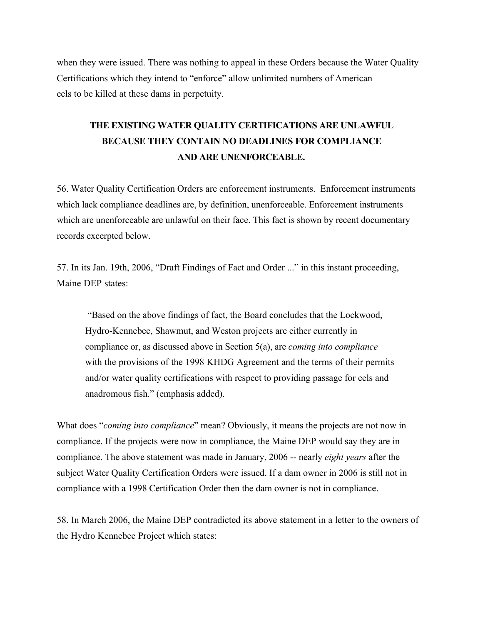when they were issued. There was nothing to appeal in these Orders because the Water Quality Certifications which they intend to "enforce" allow unlimited numbers of American eels to be killed at these dams in perpetuity.

# **THE EXISTING WATER QUALITY CERTIFICATIONS ARE UNLAWFUL BECAUSE THEY CONTAIN NO DEADLINES FOR COMPLIANCE AND ARE UNENFORCEABLE.**

56. Water Quality Certification Orders are enforcement instruments. Enforcement instruments which lack compliance deadlines are, by definition, unenforceable. Enforcement instruments which are unenforceable are unlawful on their face. This fact is shown by recent documentary records excerpted below.

57. In its Jan. 19th, 2006, "Draft Findings of Fact and Order ..." in this instant proceeding, Maine DEP states:

 "Based on the above findings of fact, the Board concludes that the Lockwood, Hydro-Kennebec, Shawmut, and Weston projects are either currently in compliance or, as discussed above in Section 5(a), are *coming into compliance* with the provisions of the 1998 KHDG Agreement and the terms of their permits and/or water quality certifications with respect to providing passage for eels and anadromous fish." (emphasis added).

What does "*coming into compliance*" mean? Obviously, it means the projects are not now in compliance. If the projects were now in compliance, the Maine DEP would say they are in compliance. The above statement was made in January, 2006 -- nearly *eight years* after the subject Water Quality Certification Orders were issued. If a dam owner in 2006 is still not in compliance with a 1998 Certification Order then the dam owner is not in compliance.

58. In March 2006, the Maine DEP contradicted its above statement in a letter to the owners of the Hydro Kennebec Project which states: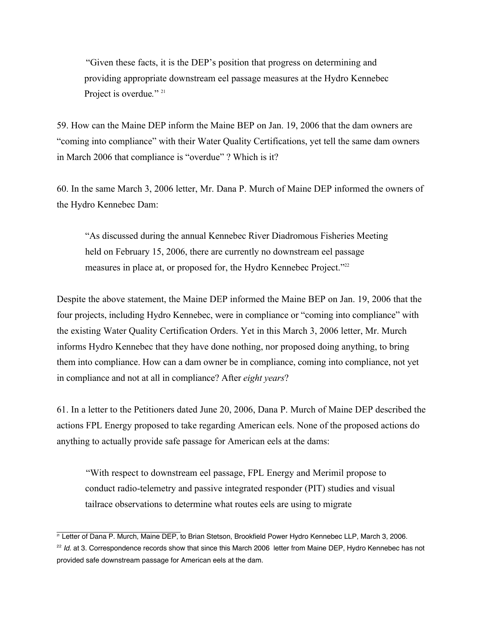"Given these facts, it is the DEP's position that progress on determining and providing appropriate downstream eel passage measures at the Hydro Kennebec Project is overdue*.*" 21

59. How can the Maine DEP inform the Maine BEP on Jan. 19, 2006 that the dam owners are "coming into compliance" with their Water Quality Certifications, yet tell the same dam owners in March 2006 that compliance is "overdue" ? Which is it?

60. In the same March 3, 2006 letter, Mr. Dana P. Murch of Maine DEP informed the owners of the Hydro Kennebec Dam:

"As discussed during the annual Kennebec River Diadromous Fisheries Meeting held on February 15, 2006, there are currently no downstream eel passage measures in place at, or proposed for, the Hydro Kennebec Project."<sup>22</sup>

Despite the above statement, the Maine DEP informed the Maine BEP on Jan. 19, 2006 that the four projects, including Hydro Kennebec, were in compliance or "coming into compliance" with the existing Water Quality Certification Orders. Yet in this March 3, 2006 letter, Mr. Murch informs Hydro Kennebec that they have done nothing, nor proposed doing anything, to bring them into compliance. How can a dam owner be in compliance, coming into compliance, not yet in compliance and not at all in compliance? After *eight years*?

61. In a letter to the Petitioners dated June 20, 2006, Dana P. Murch of Maine DEP described the actions FPL Energy proposed to take regarding American eels. None of the proposed actions do anything to actually provide safe passage for American eels at the dams:

"With respect to downstream eel passage, FPL Energy and Merimil propose to conduct radio-telemetry and passive integrated responder (PIT) studies and visual tailrace observations to determine what routes eels are using to migrate

<sup>&</sup>lt;sup>21</sup> Letter of Dana P. Murch, Maine DEP, to Brian Stetson, Brookfield Power Hydro Kennebec LLP, March 3, 2006.

 $22$  Id. at 3. Correspondence records show that since this March 2006 letter from Maine DEP, Hydro Kennebec has not provided safe downstream passage for American eels at the dam.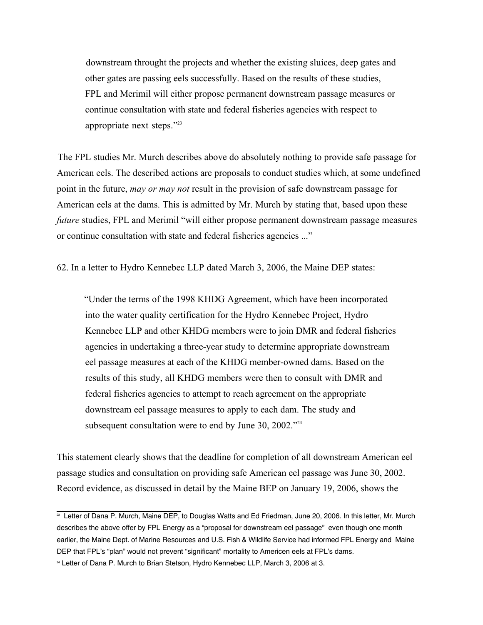downstream throught the projects and whether the existing sluices, deep gates and other gates are passing eels successfully. Based on the results of these studies, FPL and Merimil will either propose permanent downstream passage measures or continue consultation with state and federal fisheries agencies with respect to appropriate next steps."23

The FPL studies Mr. Murch describes above do absolutely nothing to provide safe passage for American eels. The described actions are proposals to conduct studies which, at some undefined point in the future, *may or may not* result in the provision of safe downstream passage for American eels at the dams. This is admitted by Mr. Murch by stating that, based upon these *future* studies, FPL and Merimil "will either propose permanent downstream passage measures or continue consultation with state and federal fisheries agencies ..."

62. In a letter to Hydro Kennebec LLP dated March 3, 2006, the Maine DEP states:

"Under the terms of the 1998 KHDG Agreement, which have been incorporated into the water quality certification for the Hydro Kennebec Project, Hydro Kennebec LLP and other KHDG members were to join DMR and federal fisheries agencies in undertaking a three-year study to determine appropriate downstream eel passage measures at each of the KHDG member-owned dams. Based on the results of this study, all KHDG members were then to consult with DMR and federal fisheries agencies to attempt to reach agreement on the appropriate downstream eel passage measures to apply to each dam. The study and subsequent consultation were to end by June 30, 2002."<sup>24</sup>

This statement clearly shows that the deadline for completion of all downstream American eel passage studies and consultation on providing safe American eel passage was June 30, 2002. Record evidence, as discussed in detail by the Maine BEP on January 19, 2006, shows the

<sup>&</sup>lt;sup>23</sup> Letter of Dana P. Murch, Maine DEP, to Douglas Watts and Ed Friedman, June 20, 2006. In this letter, Mr. Murch describes the above offer by FPL Energy as a "proposal for downstream eel passage" even though one month earlier, the Maine Dept. of Marine Resources and U.S. Fish & Wildlife Service had informed FPL Energy and Maine DEP that FPL's "plan" would not prevent "significant" mortality to Americen eels at FPL's dams.

<sup>&</sup>lt;sup>24</sup> Letter of Dana P. Murch to Brian Stetson, Hydro Kennebec LLP, March 3, 2006 at 3.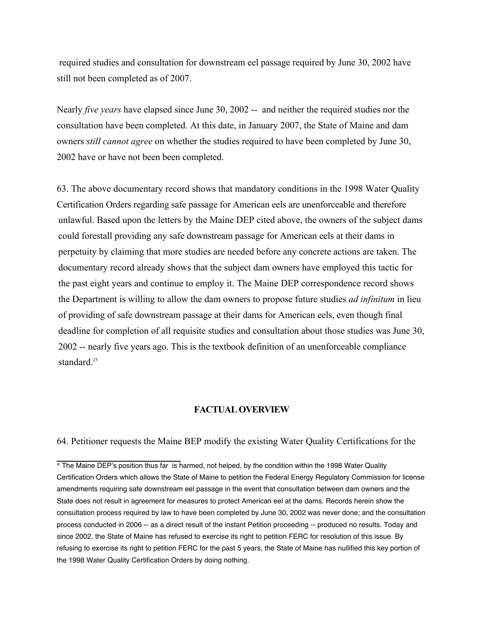required studies and consultation for downstream eel passage required by June 30, 2002 have still not been completed as of 2007.

Nearly *five years* have elapsed since June 30, 2002 -- and neither the required studies nor the consultation have been completed. At this date, in January 2007, the State of Maine and dam owners *still cannot agree* on whether the studies required to have been completed by June 30, 2002 have or have not been been completed.

63. The above documentary record shows that mandatory conditions in the 1998 Water Quality Certification Orders regarding safe passage for American eels are unenforceable and therefore unlawful. Based upon the letters by the Maine DEP cited above, the owners of the subject dams could forestall providing any safe downstream passage for American eels at their dams in perpetuity by claiming that more studies are needed before any concrete actions are taken. The documentary record already shows that the subject dam owners have employed this tactic for the past eight years and continue to employ it. The Maine DEP correspondence record shows the Department is willing to allow the dam owners to propose future studies *ad infinitum* in lieu of providing of safe downstream passage at their dams for American eels, even though final deadline for completion of all requisite studies and consultation about those studies was June 30, 2002 -- nearly five years ago. This is the textbook definition of an unenforceable compliance standard $^{25}$ 

### **FACTUAL OVERVIEW**

64. Petitioner requests the Maine BEP modify the existing Water Quality Certifications for the

 $\overline{\text{25}}$  The Maine DEP's position thus far is harmed, not helped, by the condition within the 1998 Water Quality Certification Orders which allows the State of Maine to petition the Federal Energy Regulatory Commission for license amendments requiring safe downstream eel passage in the event that consultation between dam owners and the State does not result in agreement for measures to protect American eel at the dams. Records herein show the consultation process required by law to have been completed by June 30, 2002 was never done; and the consultation process conducted in 2006 -- as a direct result of the instant Petition proceeding -- produced no results. Today and since 2002, the State of Maine has refused to exercise its right to petition FERC for resolution of this issue. By refusing to exercise its right to petition FERC for the past 5 years, the State of Maine has nullified this key portion of the 1998 Water Quality Certification Orders by doing nothing.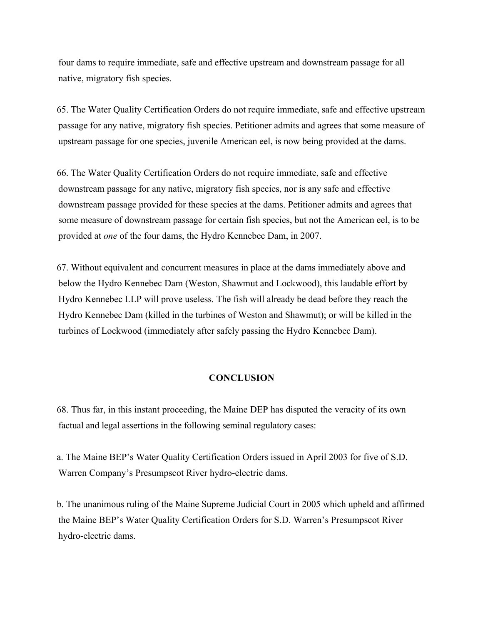four dams to require immediate, safe and effective upstream and downstream passage for all native, migratory fish species.

65. The Water Quality Certification Orders do not require immediate, safe and effective upstream passage for any native, migratory fish species. Petitioner admits and agrees that some measure of upstream passage for one species, juvenile American eel, is now being provided at the dams.

66. The Water Quality Certification Orders do not require immediate, safe and effective downstream passage for any native, migratory fish species, nor is any safe and effective downstream passage provided for these species at the dams. Petitioner admits and agrees that some measure of downstream passage for certain fish species, but not the American eel, is to be provided at *one* of the four dams, the Hydro Kennebec Dam, in 2007.

67. Without equivalent and concurrent measures in place at the dams immediately above and below the Hydro Kennebec Dam (Weston, Shawmut and Lockwood), this laudable effort by Hydro Kennebec LLP will prove useless. The fish will already be dead before they reach the Hydro Kennebec Dam (killed in the turbines of Weston and Shawmut); or will be killed in the turbines of Lockwood (immediately after safely passing the Hydro Kennebec Dam).

### **CONCLUSION**

68. Thus far, in this instant proceeding, the Maine DEP has disputed the veracity of its own factual and legal assertions in the following seminal regulatory cases:

a. The Maine BEP's Water Quality Certification Orders issued in April 2003 for five of S.D. Warren Company's Presumpscot River hydro-electric dams.

b. The unanimous ruling of the Maine Supreme Judicial Court in 2005 which upheld and affirmed the Maine BEP's Water Quality Certification Orders for S.D. Warren's Presumpscot River hydro-electric dams.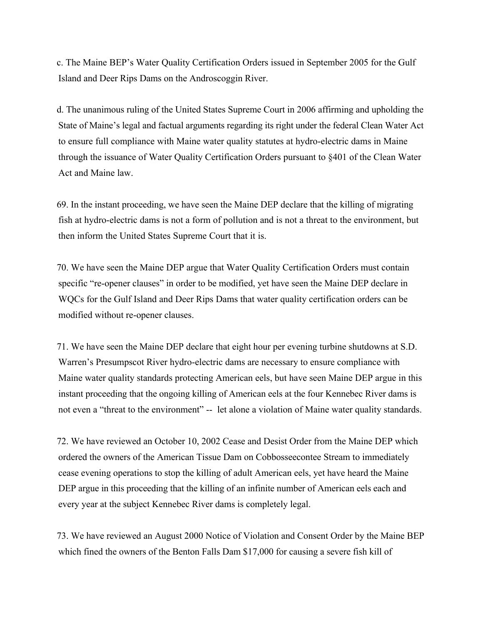c. The Maine BEP's Water Quality Certification Orders issued in September 2005 for the Gulf Island and Deer Rips Dams on the Androscoggin River.

d. The unanimous ruling of the United States Supreme Court in 2006 affirming and upholding the State of Maine's legal and factual arguments regarding its right under the federal Clean Water Act to ensure full compliance with Maine water quality statutes at hydro-electric dams in Maine through the issuance of Water Quality Certification Orders pursuant to §401 of the Clean Water Act and Maine law.

69. In the instant proceeding, we have seen the Maine DEP declare that the killing of migrating fish at hydro-electric dams is not a form of pollution and is not a threat to the environment, but then inform the United States Supreme Court that it is.

70. We have seen the Maine DEP argue that Water Quality Certification Orders must contain specific "re-opener clauses" in order to be modified, yet have seen the Maine DEP declare in WQCs for the Gulf Island and Deer Rips Dams that water quality certification orders can be modified without re-opener clauses.

71. We have seen the Maine DEP declare that eight hour per evening turbine shutdowns at S.D. Warren's Presumpscot River hydro-electric dams are necessary to ensure compliance with Maine water quality standards protecting American eels, but have seen Maine DEP argue in this instant proceeding that the ongoing killing of American eels at the four Kennebec River dams is not even a "threat to the environment" -- let alone a violation of Maine water quality standards.

72. We have reviewed an October 10, 2002 Cease and Desist Order from the Maine DEP which ordered the owners of the American Tissue Dam on Cobbosseecontee Stream to immediately cease evening operations to stop the killing of adult American eels, yet have heard the Maine DEP argue in this proceeding that the killing of an infinite number of American eels each and every year at the subject Kennebec River dams is completely legal.

73. We have reviewed an August 2000 Notice of Violation and Consent Order by the Maine BEP which fined the owners of the Benton Falls Dam \$17,000 for causing a severe fish kill of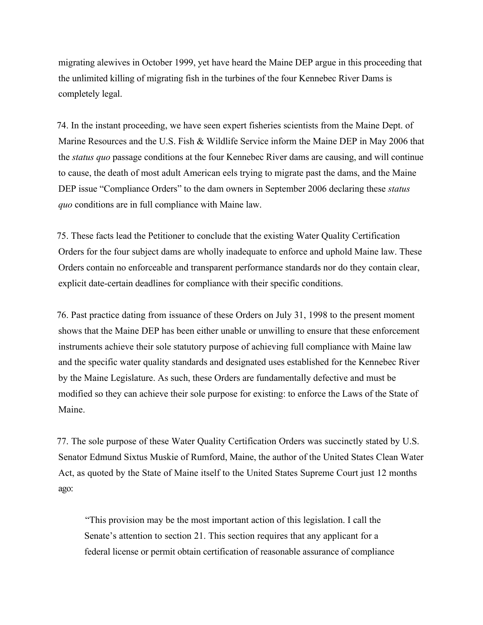migrating alewives in October 1999, yet have heard the Maine DEP argue in this proceeding that the unlimited killing of migrating fish in the turbines of the four Kennebec River Dams is completely legal.

74. In the instant proceeding, we have seen expert fisheries scientists from the Maine Dept. of Marine Resources and the U.S. Fish & Wildlife Service inform the Maine DEP in May 2006 that the *status quo* passage conditions at the four Kennebec River dams are causing, and will continue to cause, the death of most adult American eels trying to migrate past the dams, and the Maine DEP issue "Compliance Orders" to the dam owners in September 2006 declaring these *status quo* conditions are in full compliance with Maine law.

75. These facts lead the Petitioner to conclude that the existing Water Quality Certification Orders for the four subject dams are wholly inadequate to enforce and uphold Maine law. These Orders contain no enforceable and transparent performance standards nor do they contain clear, explicit date-certain deadlines for compliance with their specific conditions.

76. Past practice dating from issuance of these Orders on July 31, 1998 to the present moment shows that the Maine DEP has been either unable or unwilling to ensure that these enforcement instruments achieve their sole statutory purpose of achieving full compliance with Maine law and the specific water quality standards and designated uses established for the Kennebec River by the Maine Legislature. As such, these Orders are fundamentally defective and must be modified so they can achieve their sole purpose for existing: to enforce the Laws of the State of Maine.

77. The sole purpose of these Water Quality Certification Orders was succinctly stated by U.S. Senator Edmund Sixtus Muskie of Rumford, Maine, the author of the United States Clean Water Act, as quoted by the State of Maine itself to the United States Supreme Court just 12 months ago:

"This provision may be the most important action of this legislation. I call the Senate's attention to section 21. This section requires that any applicant for a federal license or permit obtain certification of reasonable assurance of compliance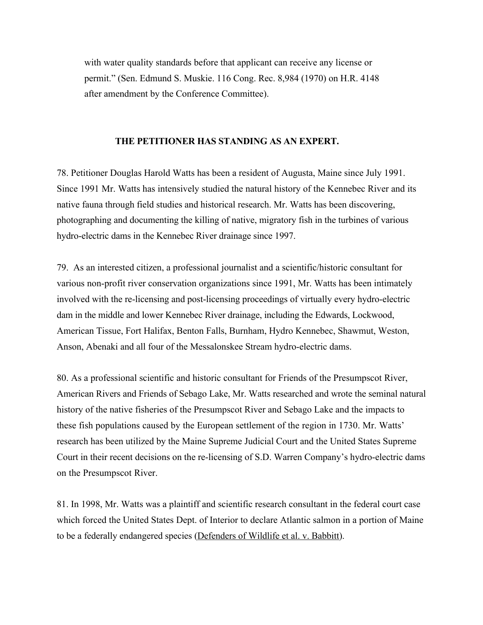with water quality standards before that applicant can receive any license or permit." (Sen. Edmund S. Muskie. 116 Cong. Rec. 8,984 (1970) on H.R. 4148 after amendment by the Conference Committee).

#### **THE PETITIONER HAS STANDING AS AN EXPERT.**

78. Petitioner Douglas Harold Watts has been a resident of Augusta, Maine since July 1991. Since 1991 Mr. Watts has intensively studied the natural history of the Kennebec River and its native fauna through field studies and historical research. Mr. Watts has been discovering, photographing and documenting the killing of native, migratory fish in the turbines of various hydro-electric dams in the Kennebec River drainage since 1997.

79. As an interested citizen, a professional journalist and a scientific/historic consultant for various non-profit river conservation organizations since 1991, Mr. Watts has been intimately involved with the re-licensing and post-licensing proceedings of virtually every hydro-electric dam in the middle and lower Kennebec River drainage, including the Edwards, Lockwood, American Tissue, Fort Halifax, Benton Falls, Burnham, Hydro Kennebec, Shawmut, Weston, Anson, Abenaki and all four of the Messalonskee Stream hydro-electric dams.

80. As a professional scientific and historic consultant for Friends of the Presumpscot River, American Rivers and Friends of Sebago Lake, Mr. Watts researched and wrote the seminal natural history of the native fisheries of the Presumpscot River and Sebago Lake and the impacts to these fish populations caused by the European settlement of the region in 1730. Mr. Watts' research has been utilized by the Maine Supreme Judicial Court and the United States Supreme Court in their recent decisions on the re-licensing of S.D. Warren Company's hydro-electric dams on the Presumpscot River.

81. In 1998, Mr. Watts was a plaintiff and scientific research consultant in the federal court case which forced the United States Dept. of Interior to declare Atlantic salmon in a portion of Maine to be a federally endangered species (Defenders of Wildlife et al. v. Babbitt).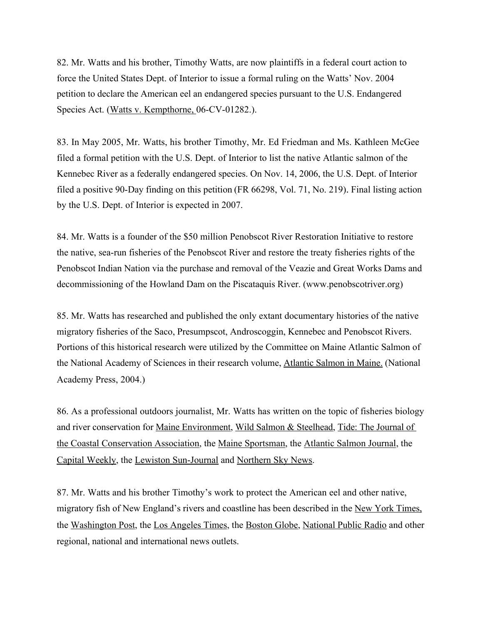82. Mr. Watts and his brother, Timothy Watts, are now plaintiffs in a federal court action to force the United States Dept. of Interior to issue a formal ruling on the Watts' Nov. 2004 petition to declare the American eel an endangered species pursuant to the U.S. Endangered Species Act. (Watts v. Kempthorne, 06-CV-01282.).

83. In May 2005, Mr. Watts, his brother Timothy, Mr. Ed Friedman and Ms. Kathleen McGee filed a formal petition with the U.S. Dept. of Interior to list the native Atlantic salmon of the Kennebec River as a federally endangered species. On Nov. 14, 2006, the U.S. Dept. of Interior filed a positive 90-Day finding on this petition (FR 66298, Vol. 71, No. 219). Final listing action by the U.S. Dept. of Interior is expected in 2007.

84. Mr. Watts is a founder of the \$50 million Penobscot River Restoration Initiative to restore the native, sea-run fisheries of the Penobscot River and restore the treaty fisheries rights of the Penobscot Indian Nation via the purchase and removal of the Veazie and Great Works Dams and decommissioning of the Howland Dam on the Piscataquis River. (www.penobscotriver.org)

85. Mr. Watts has researched and published the only extant documentary histories of the native migratory fisheries of the Saco, Presumpscot, Androscoggin, Kennebec and Penobscot Rivers. Portions of this historical research were utilized by the Committee on Maine Atlantic Salmon of the National Academy of Sciences in their research volume, Atlantic Salmon in Maine. (National Academy Press, 2004.)

86. As a professional outdoors journalist, Mr. Watts has written on the topic of fisheries biology and river conservation for Maine Environment, Wild Salmon & Steelhead, Tide: The Journal of the Coastal Conservation Association, the Maine Sportsman, the Atlantic Salmon Journal, the Capital Weekly, the Lewiston Sun-Journal and Northern Sky News.

87. Mr. Watts and his brother Timothy's work to protect the American eel and other native, migratory fish of New England's rivers and coastline has been described in the New York Times, the Washington Post, the Los Angeles Times, the Boston Globe, National Public Radio and other regional, national and international news outlets.